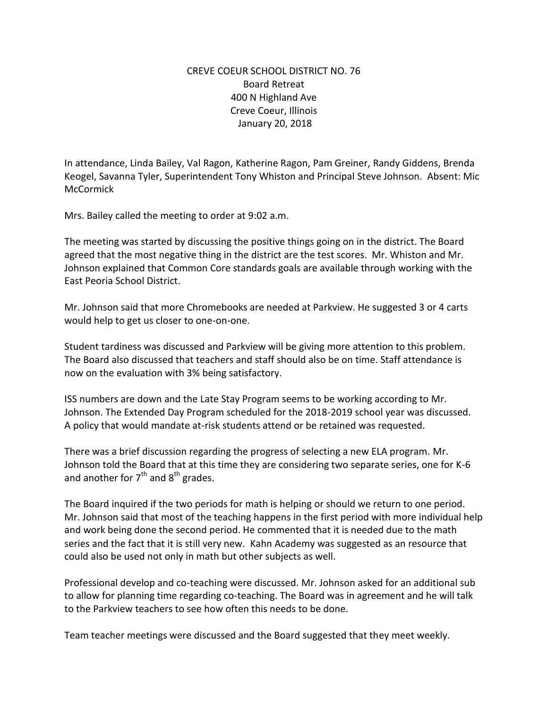## CREVE COEUR SCHOOL DISTRICT NO. 76 Board Retreat 400 N Highland Ave Creve Coeur, Illinois January 20, 2018

In attendance, Linda Bailey, Val Ragon, Katherine Ragon, Pam Greiner, Randy Giddens, Brenda Keogel, Savanna Tyler, Superintendent Tony Whiston and Principal Steve Johnson. Absent: Mic **McCormick** 

Mrs. Bailey called the meeting to order at 9:02 a.m.

The meeting was started by discussing the positive things going on in the district. The Board agreed that the most negative thing in the district are the test scores. Mr. Whiston and Mr. Johnson explained that Common Core standards goals are available through working with the East Peoria School District.

Mr. Johnson said that more Chromebooks are needed at Parkview. He suggested 3 or 4 carts would help to get us closer to one-on-one.

Student tardiness was discussed and Parkview will be giving more attention to this problem. The Board also discussed that teachers and staff should also be on time. Staff attendance is now on the evaluation with 3% being satisfactory.

ISS numbers are down and the Late Stay Program seems to be working according to Mr. Johnson. The Extended Day Program scheduled for the 2018-2019 school year was discussed. A policy that would mandate at-risk students attend or be retained was requested.

There was a brief discussion regarding the progress of selecting a new ELA program. Mr. Johnson told the Board that at this time they are considering two separate series, one for K-6 and another for  $7<sup>th</sup>$  and  $8<sup>th</sup>$  grades.

The Board inquired if the two periods for math is helping or should we return to one period. Mr. Johnson said that most of the teaching happens in the first period with more individual help and work being done the second period. He commented that it is needed due to the math series and the fact that it is still very new. Kahn Academy was suggested as an resource that could also be used not only in math but other subjects as well.

Professional develop and co-teaching were discussed. Mr. Johnson asked for an additional sub to allow for planning time regarding co-teaching. The Board was in agreement and he will talk to the Parkview teachers to see how often this needs to be done.

Team teacher meetings were discussed and the Board suggested that they meet weekly.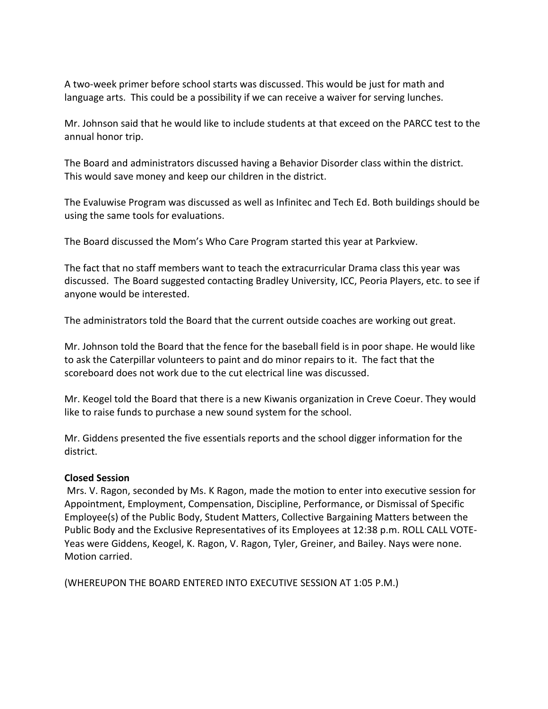A two-week primer before school starts was discussed. This would be just for math and language arts. This could be a possibility if we can receive a waiver for serving lunches.

Mr. Johnson said that he would like to include students at that exceed on the PARCC test to the annual honor trip.

The Board and administrators discussed having a Behavior Disorder class within the district. This would save money and keep our children in the district.

The Evaluwise Program was discussed as well as Infinitec and Tech Ed. Both buildings should be using the same tools for evaluations.

The Board discussed the Mom's Who Care Program started this year at Parkview.

The fact that no staff members want to teach the extracurricular Drama class this year was discussed. The Board suggested contacting Bradley University, ICC, Peoria Players, etc. to see if anyone would be interested.

The administrators told the Board that the current outside coaches are working out great.

Mr. Johnson told the Board that the fence for the baseball field is in poor shape. He would like to ask the Caterpillar volunteers to paint and do minor repairs to it. The fact that the scoreboard does not work due to the cut electrical line was discussed.

Mr. Keogel told the Board that there is a new Kiwanis organization in Creve Coeur. They would like to raise funds to purchase a new sound system for the school.

Mr. Giddens presented the five essentials reports and the school digger information for the district.

## **Closed Session**

Mrs. V. Ragon, seconded by Ms. K Ragon, made the motion to enter into executive session for Appointment, Employment, Compensation, Discipline, Performance, or Dismissal of Specific Employee(s) of the Public Body, Student Matters, Collective Bargaining Matters between the Public Body and the Exclusive Representatives of its Employees at 12:38 p.m. ROLL CALL VOTE-Yeas were Giddens, Keogel, K. Ragon, V. Ragon, Tyler, Greiner, and Bailey. Nays were none. Motion carried.

(WHEREUPON THE BOARD ENTERED INTO EXECUTIVE SESSION AT 1:05 P.M.)